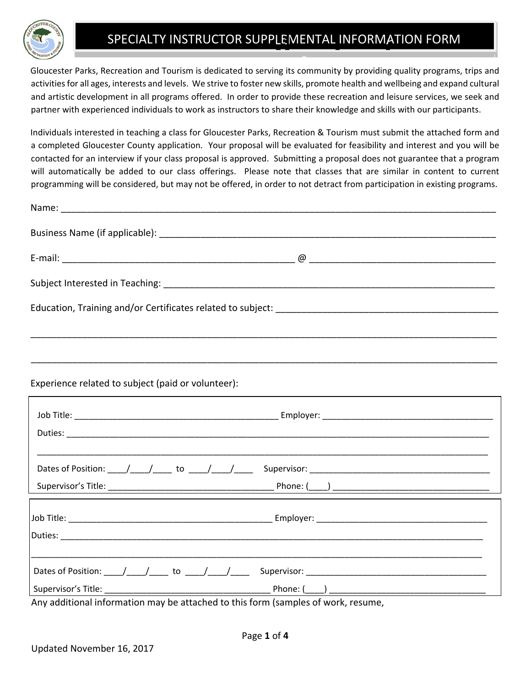

# SPECIALTY INSTRUCTOR SUPPLEMENTAL INFORMATION FORM

Gloucester Parks, Recreation and Tourism is dedicated to serving its community by providing quality programs, trips and activities for all ages, interests and levels. We strive to foster new skills, promote health and wellbeing and expand cultural and artistic development in all programs offered. In order to provide these recreation and leisure services, we seek and partner with experienced individuals to work as instructors to share their knowledge and skills with our participants.

Individuals interested in teaching a class for Gloucester Parks, Recreation & Tourism must submit the attached form and a completed Gloucester County application. Your proposal will be evaluated for feasibility and interest and you will be contacted for an interview if your class proposal is approved. Submitting a proposal does not guarantee that a program will automatically be added to our class offerings. Please note that classes that are similar in content to current programming will be considered, but may not be offered, in order to not detract from participation in existing programs.

| Experience related to subject (paid or volunteer):    |  |
|-------------------------------------------------------|--|
|                                                       |  |
|                                                       |  |
| Dates of Position: ____/____/_____ to ____/____/_____ |  |
|                                                       |  |
|                                                       |  |
|                                                       |  |
| Dates of Position: ____/____/_____ to ____/____/____  |  |
|                                                       |  |

Any additional information may be attached to this form (samples of work, resume,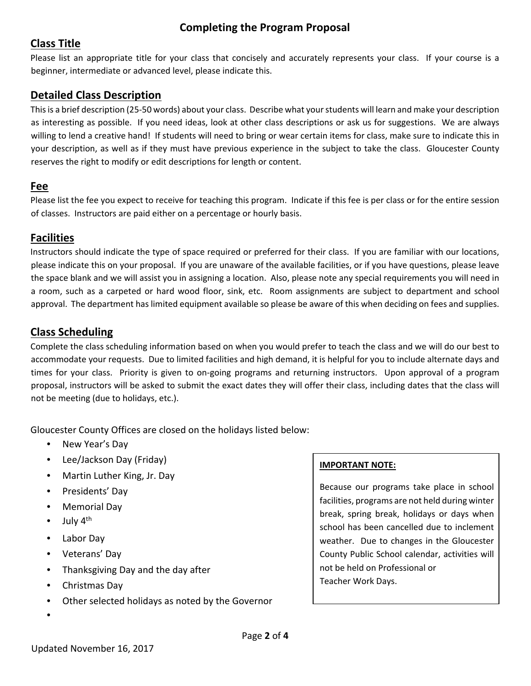# **Completing the Program Proposal**

## **Class Title**

Please list an appropriate title for your class that concisely and accurately represents your class. If your course is a beginner, intermediate or advanced level, please indicate this.

## **Detailed Class Description**

Thisis a brief description (25‐50 words) about your class. Describe what yourstudents will learn and make your description as interesting as possible. If you need ideas, look at other class descriptions or ask us for suggestions. We are always willing to lend a creative hand! If students will need to bring or wear certain items for class, make sure to indicate this in your description, as well as if they must have previous experience in the subject to take the class. Gloucester County reserves the right to modify or edit descriptions for length or content.

#### **Fee**

Please list the fee you expect to receive for teaching this program. Indicate if this fee is per class or for the entire session of classes. Instructors are paid either on a percentage or hourly basis.

### **Facilities**

Instructors should indicate the type of space required or preferred for their class. If you are familiar with our locations, please indicate this on your proposal. If you are unaware of the available facilities, or if you have questions, please leave the space blank and we will assist you in assigning a location. Also, please note any special requirements you will need in a room, such as a carpeted or hard wood floor, sink, etc. Room assignments are subject to department and school approval. The department has limited equipment available so please be aware of this when deciding on fees and supplies.

### **Class Scheduling**

Complete the class scheduling information based on when you would prefer to teach the class and we will do our best to accommodate your requests. Due to limited facilities and high demand, it is helpful for you to include alternate days and times for your class. Priority is given to on‐going programs and returning instructors. Upon approval of a program proposal, instructors will be asked to submit the exact dates they will offer their class, including dates that the class will not be meeting (due to holidays, etc.).

Gloucester County Offices are closed on the holidays listed below:

- New Year's Day
- Lee/Jackson Day (Friday)
- Martin Luther King, Jr. Day
- Presidents' Day
- Memorial Day
- July 4<sup>th</sup>
- Labor Day
- Veterans' Day
- Thanksgiving Day and the day after
- Christmas Day
- Other selected holidays as noted by the Governor
- •

#### **IMPORTANT NOTE:**

Because our programs take place in school facilities, programs are not held during winter break, spring break, holidays or days when school has been cancelled due to inclement weather. Due to changes in the Gloucester County Public School calendar, activities will not be held on Professional or Teacher Work Days.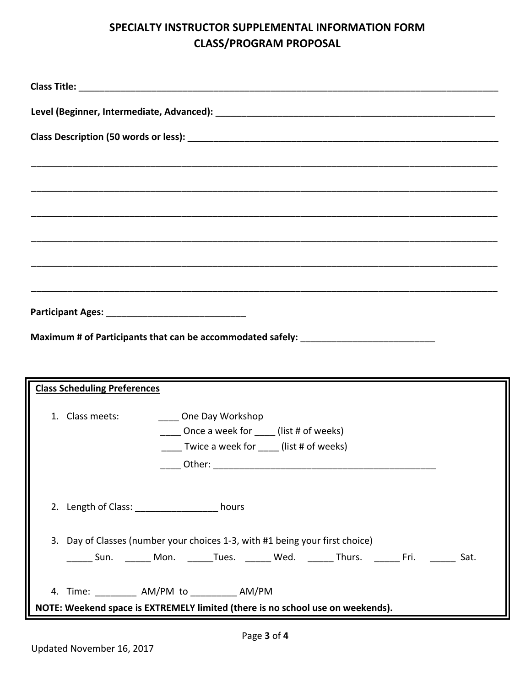# **SPECIALTY INSTRUCTOR SUPPLEMENTAL INFORMATION FORM CLASS/PROGRAM PROPOSAL**

| Maximum # of Participants that can be accommodated safely: _____________________ |                                                                                |  |  |                                                |                                                                                                                       |  |  |  |  |
|----------------------------------------------------------------------------------|--------------------------------------------------------------------------------|--|--|------------------------------------------------|-----------------------------------------------------------------------------------------------------------------------|--|--|--|--|
|                                                                                  |                                                                                |  |  |                                                |                                                                                                                       |  |  |  |  |
|                                                                                  |                                                                                |  |  |                                                |                                                                                                                       |  |  |  |  |
|                                                                                  | <b>Class Scheduling Preferences</b>                                            |  |  |                                                | <u> 1980 - An t-Alban ann an t-Alban ann an t-Alban ann an t-Alban ann an t-Alban ann an t-Alban ann an t-Alban a</u> |  |  |  |  |
|                                                                                  |                                                                                |  |  |                                                |                                                                                                                       |  |  |  |  |
|                                                                                  | 1. Class meets:<br>One Day Workshop<br>Once a week for (list # of weeks)       |  |  |                                                |                                                                                                                       |  |  |  |  |
|                                                                                  |                                                                                |  |  | _____ Twice a week for _____ (list # of weeks) |                                                                                                                       |  |  |  |  |
|                                                                                  |                                                                                |  |  |                                                |                                                                                                                       |  |  |  |  |
|                                                                                  |                                                                                |  |  |                                                |                                                                                                                       |  |  |  |  |
|                                                                                  | 2. Length of Class: ____________________ hours                                 |  |  |                                                |                                                                                                                       |  |  |  |  |
|                                                                                  |                                                                                |  |  |                                                |                                                                                                                       |  |  |  |  |
|                                                                                  | 3. Day of Classes (number your choices 1-3, with #1 being your first choice)   |  |  |                                                |                                                                                                                       |  |  |  |  |
|                                                                                  |                                                                                |  |  |                                                | _______ Sun. _______ Mon. _______Tues. _______ Wed. _______ Thurs. _______ Fri. ________ Sat.                         |  |  |  |  |
|                                                                                  |                                                                                |  |  |                                                |                                                                                                                       |  |  |  |  |
|                                                                                  | 4. Time: __________ AM/PM to __________ AM/PM                                  |  |  |                                                |                                                                                                                       |  |  |  |  |
|                                                                                  | NOTE: Weekend space is EXTREMELY limited (there is no school use on weekends). |  |  |                                                |                                                                                                                       |  |  |  |  |